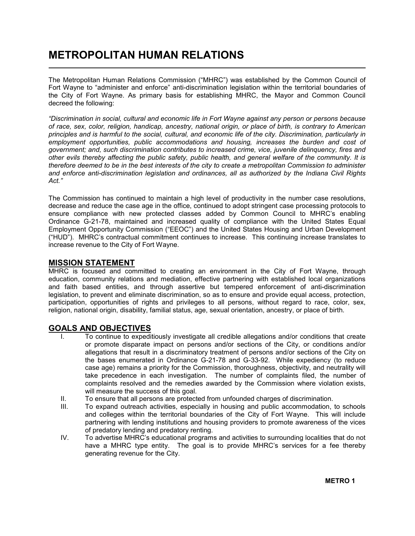# METROPOLITAN HUMAN RELATIONS

The Metropolitan Human Relations Commission ("MHRC") was established by the Common Council of Fort Wayne to "administer and enforce" anti-discrimination legislation within the territorial boundaries of the City of Fort Wayne. As primary basis for establishing MHRC, the Mayor and Common Council decreed the following:

"Discrimination in social, cultural and economic life in Fort Wayne against any person or persons because of race, sex, color, religion, handicap, ancestry, national origin, or place of birth, is contrary to American principles and is harmful to the social, cultural, and economic life of the city. Discrimination, particularly in employment opportunities, public accommodations and housing, increases the burden and cost of government; and, such discrimination contributes to increased crime, vice, juvenile delinquency, fires and other evils thereby affecting the public safety, public health, and general welfare of the community. It is therefore deemed to be in the best interests of the city to create a metropolitan Commission to administer and enforce anti-discrimination legislation and ordinances, all as authorized by the Indiana Civil Rights Act."

The Commission has continued to maintain a high level of productivity in the number case resolutions, decrease and reduce the case age in the office, continued to adopt stringent case processing protocols to ensure compliance with new protected classes added by Common Council to MHRC's enabling Ordinance G-21-78, maintained and increased quality of compliance with the United States Equal Employment Opportunity Commission ("EEOC") and the United States Housing and Urban Development ("HUD"). MHRC's contractual commitment continues to increase. This continuing increase translates to increase revenue to the City of Fort Wayne.

#### MISSION STATEMENT

L

MHRC is focused and committed to creating an environment in the City of Fort Wayne, through education, community relations and mediation, effective partnering with established local organizations and faith based entities, and through assertive but tempered enforcement of anti-discrimination legislation, to prevent and eliminate discrimination, so as to ensure and provide equal access, protection, participation, opportunities of rights and privileges to all persons, without regard to race, color, sex, religion, national origin, disability, familial status, age, sexual orientation, ancestry, or place of birth.

#### GOALS AND OBJECTIVES

- To continue to expeditiously investigate all credible allegations and/or conditions that create or promote disparate impact on persons and/or sections of the City, or conditions and/or allegations that result in a discriminatory treatment of persons and/or sections of the City on the bases enumerated in Ordinance G-21-78 and G-33-92. While expediency (to reduce case age) remains a priority for the Commission, thoroughness, objectivity, and neutrality will take precedence in each investigation. The number of complaints filed, the number of complaints resolved and the remedies awarded by the Commission where violation exists, will measure the success of this goal.
- II. To ensure that all persons are protected from unfounded charges of discrimination.
- III. To expand outreach activities, especially in housing and public accommodation, to schools and colleges within the territorial boundaries of the City of Fort Wayne. This will include partnering with lending institutions and housing providers to promote awareness of the vices of predatory lending and predatory renting.
- IV. To advertise MHRC's educational programs and activities to surrounding localities that do not have a MHRC type entity. The goal is to provide MHRC's services for a fee thereby generating revenue for the City.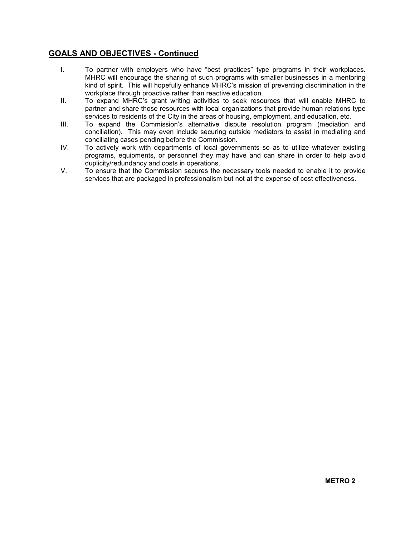### GOALS AND OBJECTIVES - Continued

- I. To partner with employers who have "best practices" type programs in their workplaces. MHRC will encourage the sharing of such programs with smaller businesses in a mentoring kind of spirit. This will hopefully enhance MHRC's mission of preventing discrimination in the workplace through proactive rather than reactive education.
- II. To expand MHRC's grant writing activities to seek resources that will enable MHRC to partner and share those resources with local organizations that provide human relations type services to residents of the City in the areas of housing, employment, and education, etc.
- III. To expand the Commission's alternative dispute resolution program (mediation and conciliation). This may even include securing outside mediators to assist in mediating and conciliating cases pending before the Commission.
- IV. To actively work with departments of local governments so as to utilize whatever existing programs, equipments, or personnel they may have and can share in order to help avoid duplicity/redundancy and costs in operations.
- V. To ensure that the Commission secures the necessary tools needed to enable it to provide services that are packaged in professionalism but not at the expense of cost effectiveness.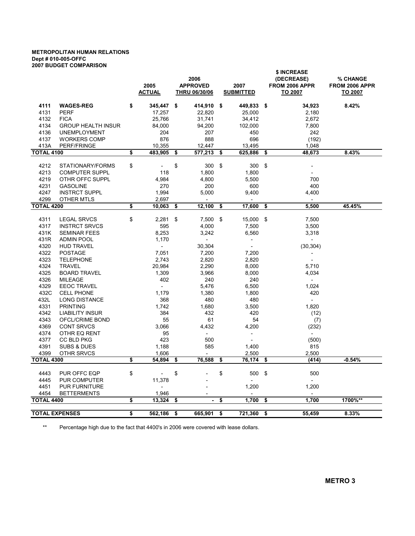#### METROPOLITAN HUMAN RELATIONS Dept # 010-005-OFFC 2007 BUDGET COMPARISON

| <b>TOTAL EXPENSES</b> |                           | \$ | 562,186                      | \$            | 665,901                  | \$               | 721,360                  | \$   | 55,459                       | 8.33%                     |  |  |
|-----------------------|---------------------------|----|------------------------------|---------------|--------------------------|------------------|--------------------------|------|------------------------------|---------------------------|--|--|
|                       |                           |    |                              |               |                          |                  |                          |      |                              |                           |  |  |
| <b>TOTAL 4400</b>     |                           | \$ | 13,324                       | \$            |                          | \$               | 1,700                    | \$   | 1,700                        | 1700%**                   |  |  |
| 4454                  | <b>BETTERMENTS</b>        |    | 1,946                        |               |                          |                  | $\overline{a}$           |      |                              |                           |  |  |
| 4451                  | PUR FURNITURE             |    | $\overline{\phantom{0}}$     |               |                          |                  | 1,200                    |      | 1,200                        |                           |  |  |
| 4445                  | PUR COMPUTER              |    | 11,378                       |               |                          |                  | $\overline{a}$           |      | $\blacksquare$               |                           |  |  |
| 4443                  | <b>PUR OFFC EQP</b>       | \$ |                              | \$            |                          | \$               | 500                      | - \$ | 500                          |                           |  |  |
|                       |                           |    |                              |               |                          |                  |                          |      |                              |                           |  |  |
| <b>TOTAL 4300</b>     |                           | \$ | 54,894                       | \$            | 76,588                   | \$               | 76,174                   | \$   | (414)                        | $-0.54%$                  |  |  |
| 4399                  | OTHR SRVCS                |    | 1,606                        |               |                          |                  | 2,500                    |      | 2,500                        |                           |  |  |
| 4391                  | <b>SUBS &amp; DUES</b>    |    | 1,188                        |               | 585                      |                  | 1,400                    |      | 815                          |                           |  |  |
| 4377                  | <b>CC BLD PKG</b>         |    | 423                          |               | 500                      |                  | ÷,                       |      | (500)                        |                           |  |  |
| 4374                  | OTHR EQ RENT              |    | 95                           |               | $\overline{\phantom{a}}$ |                  | $\overline{\phantom{a}}$ |      |                              |                           |  |  |
| 4369                  | <b>CONT SRVCS</b>         |    | 3,066                        |               | 4,432                    |                  | 4,200                    |      | (232)                        |                           |  |  |
| 4343                  | OFCL/CRIME BOND           |    | 55                           |               | 61                       |                  | 54                       |      | (7)                          |                           |  |  |
| 4342                  | <b>LIABILITY INSUR</b>    |    | 384                          |               | 432                      |                  | 420                      |      | (12)                         |                           |  |  |
| 4331                  | <b>PRINTING</b>           |    | 1,742                        |               | 1,680                    |                  | 3,500                    |      | 1,820                        |                           |  |  |
| 432L                  | <b>LONG DISTANCE</b>      |    | 368                          |               | 480                      |                  | 480                      |      | $\overline{\phantom{a}}$     |                           |  |  |
| 432C                  | <b>CELL PHONE</b>         |    | 1,179                        |               | 1,380                    |                  | 1,800                    |      | 420                          |                           |  |  |
| 4329                  | <b>EEOC TRAVEL</b>        |    | $\overline{a}$               |               | 5,476                    |                  | 6,500                    |      | 1,024                        |                           |  |  |
| 4326                  | <b>MILEAGE</b>            |    | 402                          |               | 240                      |                  | 240                      |      |                              |                           |  |  |
| 4325                  | <b>BOARD TRAVEL</b>       |    | 1,309                        |               | 3,966                    |                  | 8,000                    |      | 4,034                        |                           |  |  |
| 4324                  | <b>TRAVEL</b>             |    | 20,984                       |               | 2,290                    |                  | 8,000                    |      | 5,710                        |                           |  |  |
| 4323                  | <b>TELEPHONE</b>          |    | 2,743                        |               | 2,820                    |                  | 2,820                    |      | $\overline{\phantom{a}}$     |                           |  |  |
| 4322                  | <b>POSTAGE</b>            |    | 7,051                        |               | 7,200                    |                  | 7,200                    |      |                              |                           |  |  |
| 4320                  | <b>HUD TRAVEL</b>         |    | $\overline{\phantom{a}}$     |               | 30,304                   |                  | $\overline{a}$           |      | (30, 304)                    |                           |  |  |
| 431R                  | <b>ADMIN POOL</b>         |    | 1,170                        |               | $\overline{\phantom{a}}$ |                  | $\overline{\phantom{a}}$ |      | $\blacksquare$               |                           |  |  |
| 431K                  | <b>SEMINAR FEES</b>       |    | 8,253                        |               | 3,242                    |                  | 6,560                    |      | 3,318                        |                           |  |  |
| 4317                  | <b>INSTRCT SRVCS</b>      |    | 595                          |               | 4,000                    |                  | 7,500                    |      | 3,500                        |                           |  |  |
| 4311                  | <b>LEGAL SRVCS</b>        | \$ | 2,281                        | \$            | 7,500                    | \$               | 15,000                   | \$   | 7,500                        |                           |  |  |
|                       |                           |    |                              |               |                          |                  |                          |      |                              |                           |  |  |
| <b>TOTAL 4200</b>     |                           | \$ | 10,063                       | \$            | 12,100                   | \$               | 17,600                   | \$   | 5.500                        | 45.45%                    |  |  |
| 4299                  | OTHER MTLS                |    | 2,697                        |               | $\overline{a}$           |                  | $\overline{a}$           |      |                              |                           |  |  |
| 4247                  | <b>INSTRCT SUPPL</b>      |    | 1,994                        |               | 5,000                    |                  | 9,400                    |      | 4,400                        |                           |  |  |
| 4231                  | <b>GASOLINE</b>           |    | 270                          |               | 200                      |                  | 600                      |      | 400                          |                           |  |  |
| 4219                  | OTHR OFFC SUPPL           |    | 4,984                        |               | 4,800                    |                  | 5,500                    |      | 700                          |                           |  |  |
| 4213                  | <b>COMPUTER SUPPL</b>     |    | 118                          |               | 1,800                    |                  | 1,800                    |      | $\blacksquare$               |                           |  |  |
| 4212                  | STATIONARY/FORMS          | \$ | $\qquad \qquad \blacksquare$ | \$            | 300                      | \$               | 300                      | \$   | $\overline{\phantom{0}}$     |                           |  |  |
|                       |                           |    |                              |               |                          |                  |                          |      |                              |                           |  |  |
| <b>TOTAL 4100</b>     |                           | \$ | 483,905                      | \$            | 577,213                  | \$               | 625,886                  | \$   | 48,673                       | 8.43%                     |  |  |
| 413A                  | <b>PERF/FRINGE</b>        |    | 10,355                       |               | 12,447                   |                  | 13,495                   |      | 1,048                        |                           |  |  |
| 4137                  | <b>WORKERS COMP</b>       |    | 876                          |               | 888                      |                  | 696                      |      | (192)                        |                           |  |  |
| 4136                  | <b>UNEMPLOYMENT</b>       |    | 204                          |               | 207                      |                  | 450                      |      | 242                          |                           |  |  |
| 4134                  | <b>GROUP HEALTH INSUR</b> |    | 84,000                       |               | 94,200                   |                  | 102,000                  |      | 7,800                        |                           |  |  |
| 4132                  | <b>FICA</b>               |    | 25,766                       |               | 31,741                   |                  | 34,412                   |      | 2,672                        |                           |  |  |
| 4131                  | <b>PERF</b>               |    | 17,257                       |               | 22,820                   |                  | 25,000                   |      | 2,180                        |                           |  |  |
| 4111                  | <b>WAGES-REG</b>          | \$ | 345,447                      | \$            | 414,910                  | \$               | 449,833                  | \$   | 34,923                       | 8.42%                     |  |  |
|                       |                           |    |                              |               |                          |                  |                          |      |                              |                           |  |  |
|                       |                           |    | <b>ACTUAL</b>                | THRU 06/30/06 |                          | <b>SUBMITTED</b> |                          |      | TO 2007                      | FROM 2006 APPR<br>TO 2007 |  |  |
|                       |                           |    | 2005                         |               | 2006<br><b>APPROVED</b>  |                  | 2007                     |      | (DECREASE)<br>FROM 2006 APPR | % CHANGE                  |  |  |
|                       |                           |    |                              |               |                          |                  |                          |      | \$ INCREASE                  |                           |  |  |
|                       |                           |    |                              |               |                          |                  |                          |      |                              |                           |  |  |

\*\* Percentage high due to the fact that 4400's in 2006 were covered with lease dollars.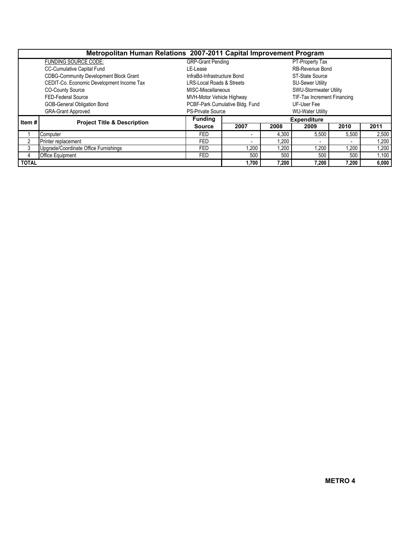| Metropolitan Human Relations 2007-2011 Capital Improvement Program |                                               |                                      |                                 |                             |                               |       |       |  |  |  |  |
|--------------------------------------------------------------------|-----------------------------------------------|--------------------------------------|---------------------------------|-----------------------------|-------------------------------|-------|-------|--|--|--|--|
|                                                                    | FUNDING SOURCE CODE:                          | <b>GRP-Grant Pending</b>             |                                 |                             | PT-Property Tax               |       |       |  |  |  |  |
|                                                                    | <b>CC-Cumulative Capital Fund</b>             | LE-Lease                             |                                 |                             | RB-Revenue Bond               |       |       |  |  |  |  |
|                                                                    | <b>CDBG-Community Development Block Grant</b> | InfraBd-Infrastructure Bond          |                                 |                             | <b>ST-State Source</b>        |       |       |  |  |  |  |
|                                                                    | CEDIT-Co. Economic Development Income Tax     | <b>LRS-Local Roads &amp; Streets</b> |                                 |                             | <b>SU-Sewer Utility</b>       |       |       |  |  |  |  |
|                                                                    | <b>CO-County Source</b>                       | MISC-Miscellaneous                   |                                 |                             | <b>SWU-Stormwater Utility</b> |       |       |  |  |  |  |
|                                                                    | FED-Federal Source                            | MVH-Motor Vehicle Highway            |                                 | TIF-Tax Increment Financing |                               |       |       |  |  |  |  |
|                                                                    | <b>GOB-General Obligation Bond</b>            |                                      | PCBF-Park Cumulative Bldg. Fund |                             | UF-User Fee                   |       |       |  |  |  |  |
|                                                                    | <b>GRA-Grant Approved</b>                     | <b>PS-Private Source</b>             |                                 | <b>WU-Water Utility</b>     |                               |       |       |  |  |  |  |
| Item#                                                              | <b>Project Title &amp; Description</b>        | <b>Funding</b>                       | <b>Expenditure</b>              |                             |                               |       |       |  |  |  |  |
|                                                                    |                                               | <b>Source</b>                        | 2007                            | 2008                        | 2009                          | 2010  | 2011  |  |  |  |  |
|                                                                    | Computer                                      | <b>FED</b>                           |                                 | 4,300                       | 5,500                         | 5,500 | 2,500 |  |  |  |  |
| 2                                                                  | Printer replacement                           | <b>FED</b>                           |                                 | 1,200                       |                               |       | 1,200 |  |  |  |  |
| 3                                                                  | Upgrade/Coordinate Office Furnishings         | <b>FED</b>                           | 1,200                           | 1,200                       | 1,200                         | 1,200 | 1,200 |  |  |  |  |
| 4                                                                  | <b>Office Equipment</b>                       | <b>FED</b>                           | 500                             | 500                         | 500                           | 500   | 1,100 |  |  |  |  |
| <b>TOTAL</b>                                                       |                                               | 1,700                                | 7,200                           | 7,200                       | 7,200                         | 6,000 |       |  |  |  |  |